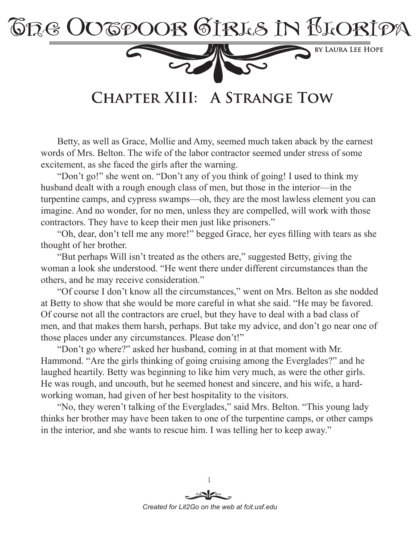

**CHAPTER XIII: A STRANGE TOW** 

Betty, as well as Grace, Mollie and Amy, seemed much taken aback by the earnest words of Mrs. Belton. The wife of the labor contractor seemed under stress of some excitement, as she faced the girls after the warning.

"Don't go!" she went on. "Don't any of you think of going! I used to think my husband dealt with a rough enough class of men, but those in the interior—in the turpentine camps, and cypress swamps—oh, they are the most lawless element you can imagine. And no wonder, for no men, unless they are compelled, will work with those contractors. They have to keep their men just like prisoners."

"Oh, dear, don't tell me any more!" begged Grace, her eyes filling with tears as she thought of her brother.

"But perhaps Will isn't treated as the others are," suggested Betty, giving the woman a look she understood. "He went there under different circumstances than the others, and he may receive consideration."

"Of course I don't know all the circumstances," went on Mrs. Belton as she nodded at Betty to show that she would be more careful in what she said. "He may be favored. Of course not all the contractors are cruel, but they have to deal with a bad class of men, and that makes them harsh, perhaps. But take my advice, and don't go near one of those places under any circumstances. Please don't!"

"Don't go where?" asked her husband, coming in at that moment with Mr. Hammond. "Are the girls thinking of going cruising among the Everglades?" and he laughed heartily. Betty was beginning to like him very much, as were the other girls. He was rough, and uncouth, but he seemed honest and sincere, and his wife, a hardworking woman, had given of her best hospitality to the visitors.

"No, they weren't talking of the Everglades," said Mrs. Belton. "This young lady thinks her brother may have been taken to one of the turpentine camps, or other camps in the interior, and she wants to rescue him. I was telling her to keep away."

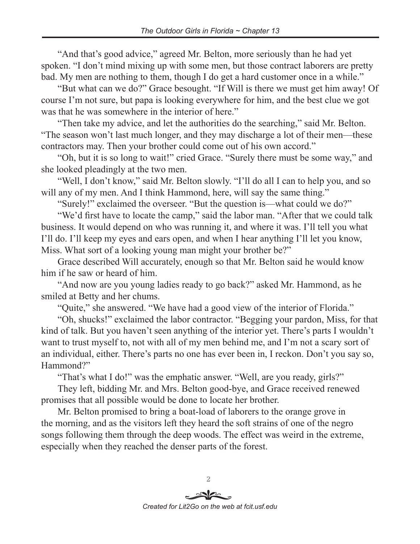"And that's good advice," agreed Mr. Belton, more seriously than he had yet spoken. "I don't mind mixing up with some men, but those contract laborers are pretty bad. My men are nothing to them, though I do get a hard customer once in a while."

"But what can we do?" Grace besought. "If Will is there we must get him away! Of course I'm not sure, but papa is looking everywhere for him, and the best clue we got was that he was somewhere in the interior of here."

"Then take my advice, and let the authorities do the searching," said Mr. Belton. "The season won't last much longer, and they may discharge a lot of their men—these contractors may. Then your brother could come out of his own accord."

"Oh, but it is so long to wait!" cried Grace. "Surely there must be some way," and she looked pleadingly at the two men.

"Well, I don't know," said Mr. Belton slowly. "I'll do all I can to help you, and so will any of my men. And I think Hammond, here, will say the same thing."

"Surely!" exclaimed the overseer. "But the question is—what could we do?"

"We'd first have to locate the camp," said the labor man. "After that we could talk business. It would depend on who was running it, and where it was. I'll tell you what I'll do. I'll keep my eyes and ears open, and when I hear anything I'll let you know, Miss. What sort of a looking young man might your brother be?"

Grace described Will accurately, enough so that Mr. Belton said he would know him if he saw or heard of him.

"And now are you young ladies ready to go back?" asked Mr. Hammond, as he smiled at Betty and her chums.

"Quite," she answered. "We have had a good view of the interior of Florida."

"Oh, shucks!" exclaimed the labor contractor. "Begging your pardon, Miss, for that kind of talk. But you haven't seen anything of the interior yet. There's parts I wouldn't want to trust myself to, not with all of my men behind me, and I'm not a scary sort of an individual, either. There's parts no one has ever been in, I reckon. Don't you say so, Hammond?"

"That's what I do!" was the emphatic answer. "Well, are you ready, girls?"

They left, bidding Mr. and Mrs. Belton good-bye, and Grace received renewed promises that all possible would be done to locate her brother.

Mr. Belton promised to bring a boat-load of laborers to the orange grove in the morning, and as the visitors left they heard the soft strains of one of the negro songs following them through the deep woods. The effect was weird in the extreme, especially when they reached the denser parts of the forest.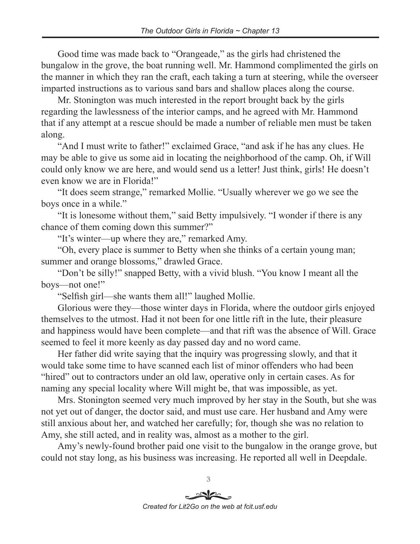Good time was made back to "Orangeade," as the girls had christened the bungalow in the grove, the boat running well. Mr. Hammond complimented the girls on the manner in which they ran the craft, each taking a turn at steering, while the overseer imparted instructions as to various sand bars and shallow places along the course.

Mr. Stonington was much interested in the report brought back by the girls regarding the lawlessness of the interior camps, and he agreed with Mr. Hammond that if any attempt at a rescue should be made a number of reliable men must be taken along.

"And I must write to father!" exclaimed Grace, "and ask if he has any clues. He may be able to give us some aid in locating the neighborhood of the camp. Oh, if Will could only know we are here, and would send us a letter! Just think, girls! He doesn't even know we are in Florida!"

"It does seem strange," remarked Mollie. "Usually wherever we go we see the boys once in a while."

"It is lonesome without them," said Betty impulsively. "I wonder if there is any chance of them coming down this summer?"

"It's winter—up where they are," remarked Amy.

"Oh, every place is summer to Betty when she thinks of a certain young man; summer and orange blossoms," drawled Grace.

"Don't be silly!" snapped Betty, with a vivid blush. "You know I meant all the boys—not one!"

"Selfish girl—she wants them all!" laughed Mollie.

Glorious were they—those winter days in Florida, where the outdoor girls enjoyed themselves to the utmost. Had it not been for one little rift in the lute, their pleasure and happiness would have been complete—and that rift was the absence of Will. Grace seemed to feel it more keenly as day passed day and no word came.

Her father did write saying that the inquiry was progressing slowly, and that it would take some time to have scanned each list of minor offenders who had been "hired" out to contractors under an old law, operative only in certain cases. As for naming any special locality where Will might be, that was impossible, as yet.

Mrs. Stonington seemed very much improved by her stay in the South, but she was not yet out of danger, the doctor said, and must use care. Her husband and Amy were still anxious about her, and watched her carefully; for, though she was no relation to Amy, she still acted, and in reality was, almost as a mother to the girl.

Amy's newly-found brother paid one visit to the bungalow in the orange grove, but could not stay long, as his business was increasing. He reported all well in Deepdale.

> 3 *Created for Lit2Go on the web at fcit.usf.edu*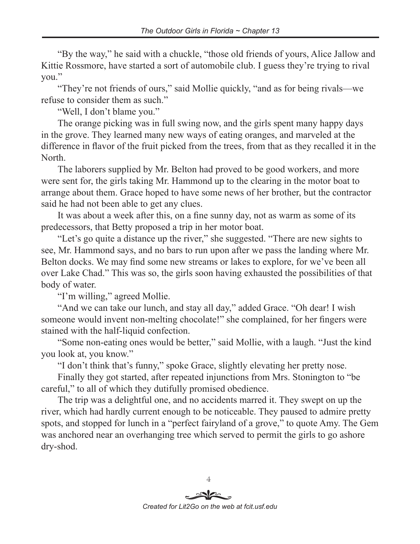"By the way," he said with a chuckle, "those old friends of yours, Alice Jallow and Kittie Rossmore, have started a sort of automobile club. I guess they're trying to rival you."

"They're not friends of ours," said Mollie quickly, "and as for being rivals—we refuse to consider them as such."

"Well, I don't blame you."

The orange picking was in full swing now, and the girls spent many happy days in the grove. They learned many new ways of eating oranges, and marveled at the difference in flavor of the fruit picked from the trees, from that as they recalled it in the North.

The laborers supplied by Mr. Belton had proved to be good workers, and more were sent for, the girls taking Mr. Hammond up to the clearing in the motor boat to arrange about them. Grace hoped to have some news of her brother, but the contractor said he had not been able to get any clues.

It was about a week after this, on a fine sunny day, not as warm as some of its predecessors, that Betty proposed a trip in her motor boat.

"Let's go quite a distance up the river," she suggested. "There are new sights to see, Mr. Hammond says, and no bars to run upon after we pass the landing where Mr. Belton docks. We may find some new streams or lakes to explore, for we've been all over Lake Chad." This was so, the girls soon having exhausted the possibilities of that body of water.

"I'm willing," agreed Mollie.

"And we can take our lunch, and stay all day," added Grace. "Oh dear! I wish someone would invent non-melting chocolate!" she complained, for her fingers were stained with the half-liquid confection.

"Some non-eating ones would be better," said Mollie, with a laugh. "Just the kind you look at, you know."

"I don't think that's funny," spoke Grace, slightly elevating her pretty nose.

Finally they got started, after repeated injunctions from Mrs. Stonington to "be careful," to all of which they dutifully promised obedience.

The trip was a delightful one, and no accidents marred it. They swept on up the river, which had hardly current enough to be noticeable. They paused to admire pretty spots, and stopped for lunch in a "perfect fairyland of a grove," to quote Amy. The Gem was anchored near an overhanging tree which served to permit the girls to go ashore dry-shod.

*Created for Lit2Go on the web at fcit.usf.edu*

 $\overline{4}$